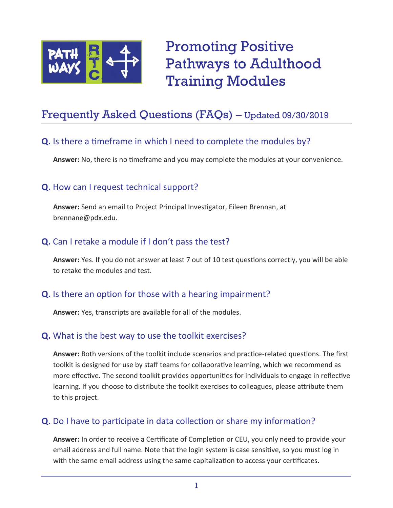

Promoting Positive Pathways to Adulthood Training Modules

# Frequently Asked Questions (FAQs) – Updated 09/30/2019

#### **Q.** Is there a timeframe in which I need to complete the modules by?

**Answer:** No, there is no timeframe and you may complete the modules at your convenience.

## **Q.** How can I request technical support?

**Answer:** Send an email to Project Principal Investigator, Eileen Brennan, at brennane@pdx.edu.

#### **Q.** Can I retake a module if I don't pass the test?

**Answer:** Yes. If you do not answer at least 7 out of 10 test questions correctly, you will be able to retake the modules and test.

## **Q.** Is there an option for those with a hearing impairment?

**Answer:** Yes, transcripts are available for all of the modules.

## **Q.** What is the best way to use the toolkit exercises?

**Answer:** Both versions of the toolkit include scenarios and practice-related questions. The first toolkit is designed for use by staff teams for collaborative learning, which we recommend as more effective. The second toolkit provides opportunities for individuals to engage in reflective learning. If you choose to distribute the toolkit exercises to colleagues, please attribute them to this project.

## **Q.** Do I have to participate in data collection or share my information?

**Answer:** In order to receive a Certificate of Completion or CEU, you only need to provide your email address and full name. Note that the login system is case sensitive, so you must log in with the same email address using the same capitalization to access your certificates.